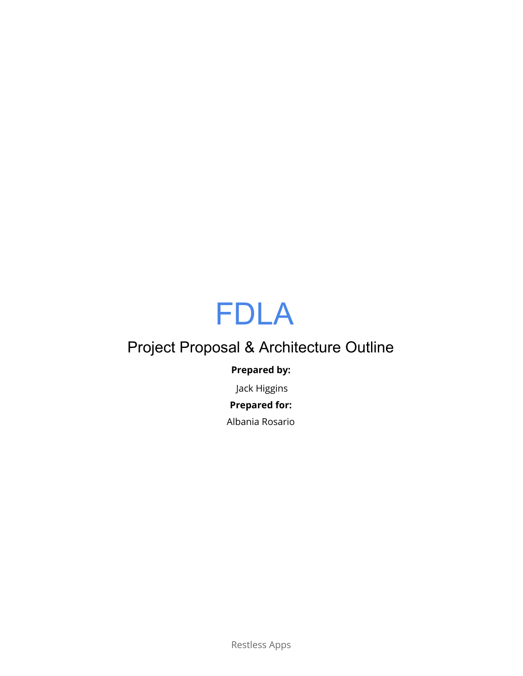# FDLA

## Project Proposal & Architecture Outline

## **Prepared by:**

Jack Higgins

## **Prepared for:**

Albania Rosario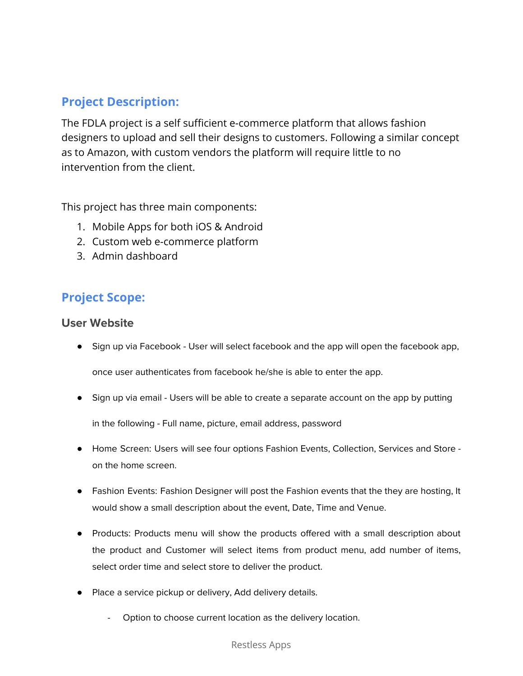## **Project Description:**

The FDLA project is a self sufficient e-commerce platform that allows fashion designers to upload and sell their designs to customers. Following a similar concept as to Amazon, with custom vendors the platform will require little to no intervention from the client.

This project has three main components:

- 1. Mobile Apps for both iOS & Android
- 2. Custom web e-commerce platform
- 3. Admin dashboard

## **Project Scope:**

### **User Website**

● Sign up via Facebook - User will select facebook and the app will open the facebook app,

once user authenticates from facebook he/she is able to enter the app.

● Sign up via email - Users will be able to create a separate account on the app by putting

in the following - Full name, picture, email address, password

- Home Screen: Users will see four options Fashion Events, Collection, Services and Store on the home screen.
- Fashion Events: Fashion Designer will post the Fashion events that the they are hosting, It would show a small description about the event, Date, Time and Venue.
- Products: Products menu will show the products offered with a small description about the product and Customer will select items from product menu, add number of items, select order time and select store to deliver the product.
- Place a service pickup or delivery, Add delivery details.
	- Option to choose current location as the delivery location.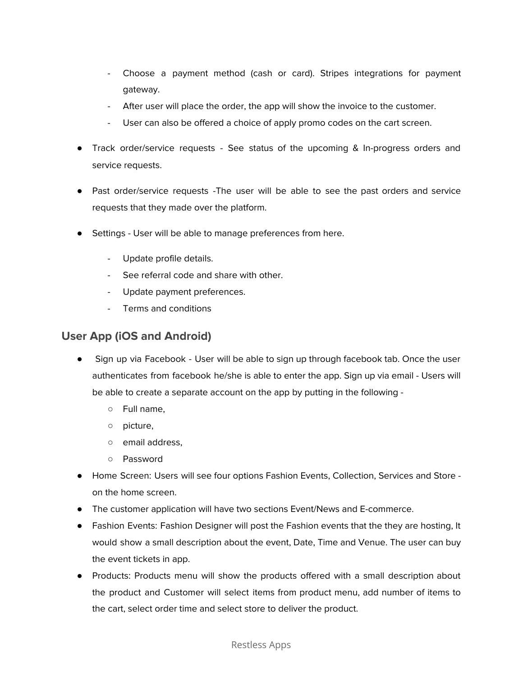- Choose a payment method (cash or card). Stripes integrations for payment gateway.
- After user will place the order, the app will show the invoice to the customer.
- User can also be offered a choice of apply promo codes on the cart screen.
- Track order/service requests See status of the upcoming & In-progress orders and service requests.
- Past order/service requests -The user will be able to see the past orders and service requests that they made over the platform.
- Settings User will be able to manage preferences from here.
	- Update profile details.
	- See referral code and share with other.
	- Update payment preferences.
	- Terms and conditions

## **User App (iOS and Android)**

- Sign up via Facebook User will be able to sign up through facebook tab. Once the user authenticates from facebook he/she is able to enter the app. Sign up via email - Users will be able to create a separate account on the app by putting in the following -
	- Full name,
	- picture,
	- email address,
	- Password
- Home Screen: Users will see four options Fashion Events, Collection, Services and Store on the home screen.
- The customer application will have two sections Event/News and E-commerce.
- Fashion Events: Fashion Designer will post the Fashion events that the they are hosting, It would show a small description about the event, Date, Time and Venue. The user can buy the event tickets in app.
- Products: Products menu will show the products offered with a small description about the product and Customer will select items from product menu, add number of items to the cart, select order time and select store to deliver the product.

#### Restless Apps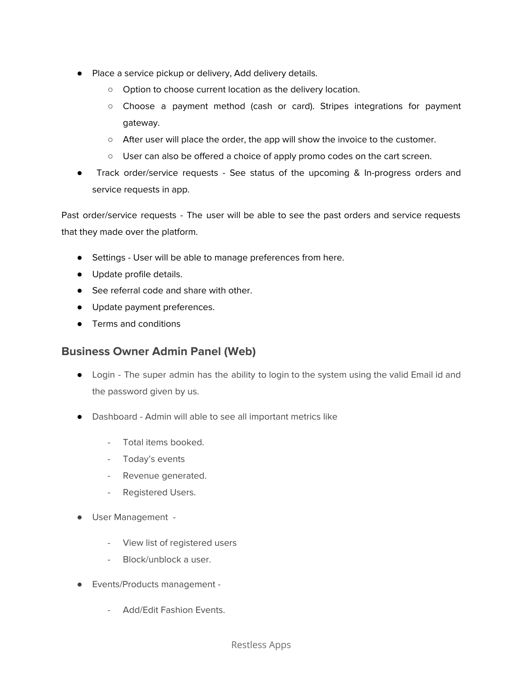- Place a service pickup or delivery, Add delivery details.
	- Option to choose current location as the delivery location.
	- Choose a payment method (cash or card). Stripes integrations for payment gateway.
	- After user will place the order, the app will show the invoice to the customer.
	- User can also be offered a choice of apply promo codes on the cart screen.
- Track order/service requests See status of the upcoming & In-progress orders and service requests in app.

Past order/service requests - The user will be able to see the past orders and service requests that they made over the platform.

- Settings User will be able to manage preferences from here.
- Update profile details.
- See referral code and share with other.
- Update payment preferences.
- Terms and conditions

## **Business Owner Admin Panel (Web)**

- Login The super admin has the ability to login to the system using the valid Email id and the password given by us.
- Dashboard Admin will able to see all important metrics like
	- Total items booked.
	- Today's events
	- Revenue generated.
	- Registered Users.
- User Management
	- View list of registered users
	- Block/unblock a user.
- Events/Products management
	- Add/Edit Fashion Events.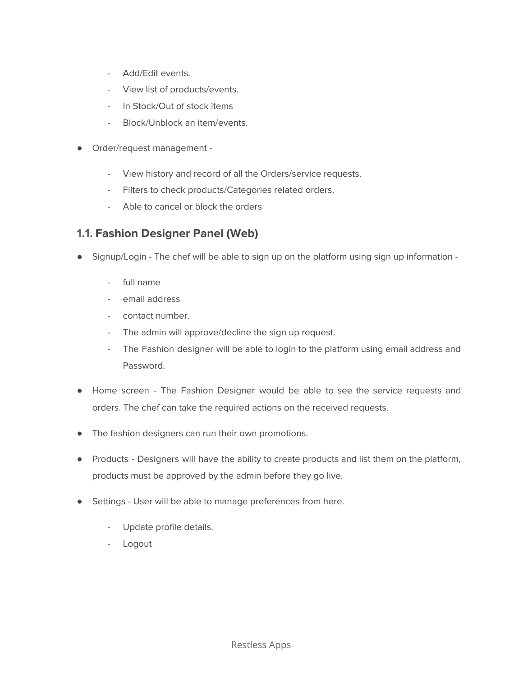- Add/Edit events.
- View list of products/events.
- In Stock/Out of stock items
- Block/Unblock an item/events.
- Order/request management
	- View history and record of all the Orders/service requests.
	- Filters to check products/Categories related orders.
	- Able to cancel or block the orders

## **1.1. Fashion Designer Panel (Web)**

- Signup/Login The chef will be able to sign up on the platform using sign up information -
	- full name
	- email address
	- contact number.
	- The admin will approve/decline the sign up request.
	- The Fashion designer will be able to login to the platform using email address and Password.
- Home screen The Fashion Designer would be able to see the service requests and orders. The chef can take the required actions on the received requests.
- The fashion designers can run their own promotions.
- Products Designers will have the ability to create products and list them on the platform, products must be approved by the admin before they go live.
- Settings User will be able to manage preferences from here.
	- Update profile details.
	- Logout